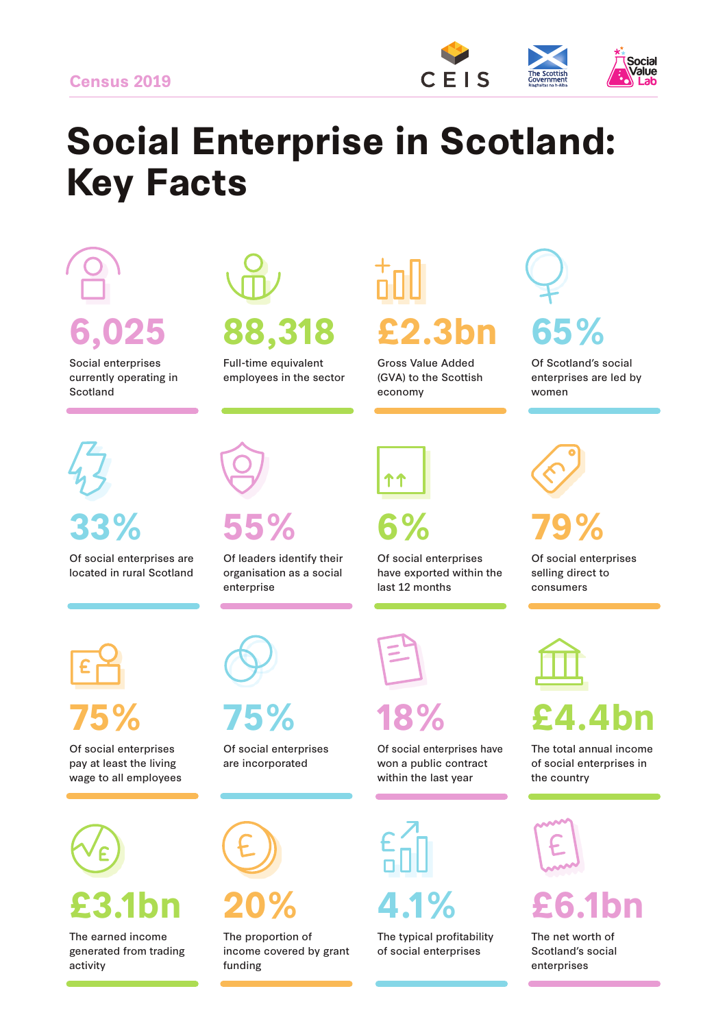

#### **Social Enterprise in Scotland: Key Facts**



Social enterprises currently operating in Scotland



# **£2.3bn**

Gross Value Added (GVA) to the Scottish economy



Of Scotland's social enterprises are led by women



Of social enterprises are located in rural Scotland



**55%**

Of leaders identify their organisation as a social enterprise



**6%**

Of social enterprises have exported within the last 12 months



**79%**

Of social enterprises selling direct to consumers



Of social enterprises pay at least the living wage to all employees



## **£3.1bn**

The earned income generated from trading activity



**75%**

Of social enterprises are incorporated



The proportion of income covered by grant funding

**18%**

Of social enterprises have won a public contract within the last year



#### **20% 4.1%**

The typical profitability of social enterprises



**£4.4bn**

The total annual income of social enterprises in the country



#### **£6.1bn**

The net worth of Scotland's social enterprises